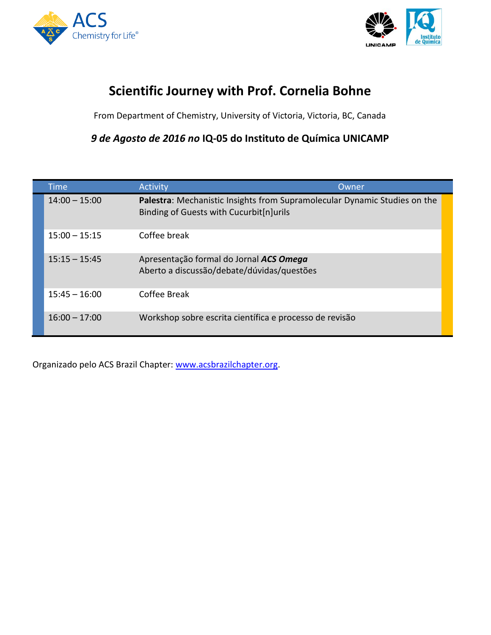



## **Scientific Journey with Prof. Cornelia Bohne**

From Department of Chemistry, University of Victoria, Victoria, BC, Canada

*9 de Agosto de 2016 no* **IQ-05 do Instituto de Química UNICAMP**

| <b>Time</b>     | <b>Activity</b>                                                                                                      | Owner |
|-----------------|----------------------------------------------------------------------------------------------------------------------|-------|
| $14:00 - 15:00$ | Palestra: Mechanistic Insights from Supramolecular Dynamic Studies on the<br>Binding of Guests with Cucurbit[n]urils |       |
| $15:00 - 15:15$ | Coffee break                                                                                                         |       |
| $15:15 - 15:45$ | Apresentação formal do Jornal ACS Omega<br>Aberto a discussão/debate/dúvidas/questões                                |       |
| $15:45 - 16:00$ | Coffee Break                                                                                                         |       |
| $16:00 - 17:00$ | Workshop sobre escrita científica e processo de revisão                                                              |       |

Organizado pelo ACS Brazil Chapter: [www.acsbrazilchapter.org.](http://www.acsbrazilchapter.org/)